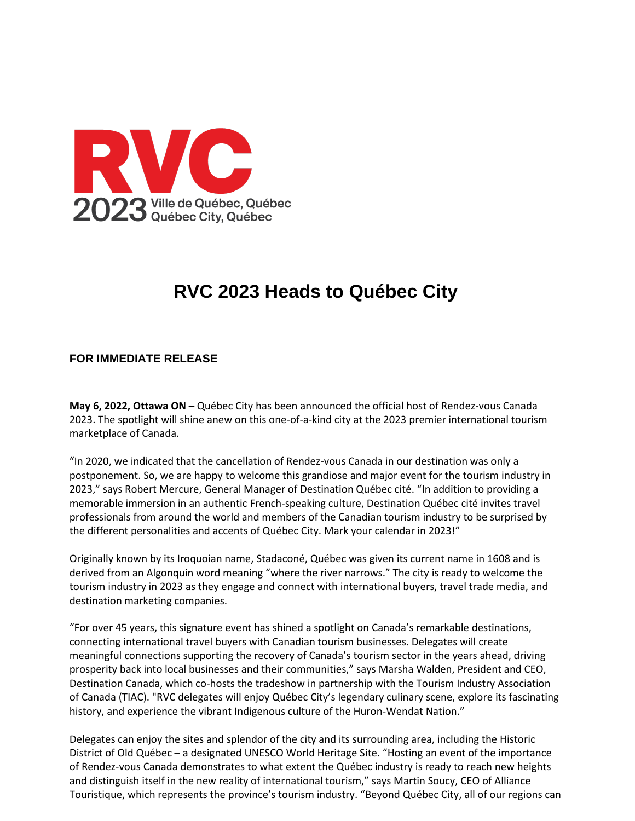

## **RVC 2023 Heads to Québec City**

## **FOR IMMEDIATE RELEASE**

**May 6, 2022, Ottawa ON –** Québec City has been announced the official host of Rendez-vous Canada 2023. The spotlight will shine anew on this one-of-a-kind city at the 2023 premier international tourism marketplace of Canada.

"In 2020, we indicated that the cancellation of Rendez-vous Canada in our destination was only a postponement. So, we are happy to welcome this grandiose and major event for the tourism industry in 2023," says Robert Mercure, General Manager of Destination Québec cité. "In addition to providing a memorable immersion in an authentic French-speaking culture, Destination Québec cité invites travel professionals from around the world and members of the Canadian tourism industry to be surprised by the different personalities and accents of Québec City. Mark your calendar in 2023!"

Originally known by its Iroquoian name, Stadaconé, Québec was given its current name in 1608 and is derived from an Algonquin word meaning "where the river narrows." The city is ready to welcome the tourism industry in 2023 as they engage and connect with international buyers, travel trade media, and destination marketing companies.

"For over 45 years, this signature event has shined a spotlight on Canada's remarkable destinations, connecting international travel buyers with Canadian tourism businesses. Delegates will create meaningful connections supporting the recovery of Canada's tourism sector in the years ahead, driving prosperity back into local businesses and their communities," says Marsha Walden, President and CEO, Destination Canada, which co-hosts the tradeshow in partnership with the Tourism Industry Association of Canada (TIAC). "RVC delegates will enjoy Québec City's legendary culinary scene, explore its fascinating history, and experience the vibrant Indigenous culture of the Huron-Wendat Nation."

Delegates can enjoy the sites and splendor of the city and its surrounding area, including the Historic District of Old Québec – a designated UNESCO World Heritage Site. "Hosting an event of the importance of Rendez-vous Canada demonstrates to what extent the Québec industry is ready to reach new heights and distinguish itself in the new reality of international tourism," says Martin Soucy, CEO of Alliance Touristique, which represents the province's tourism industry. "Beyond Québec City, all of our regions can